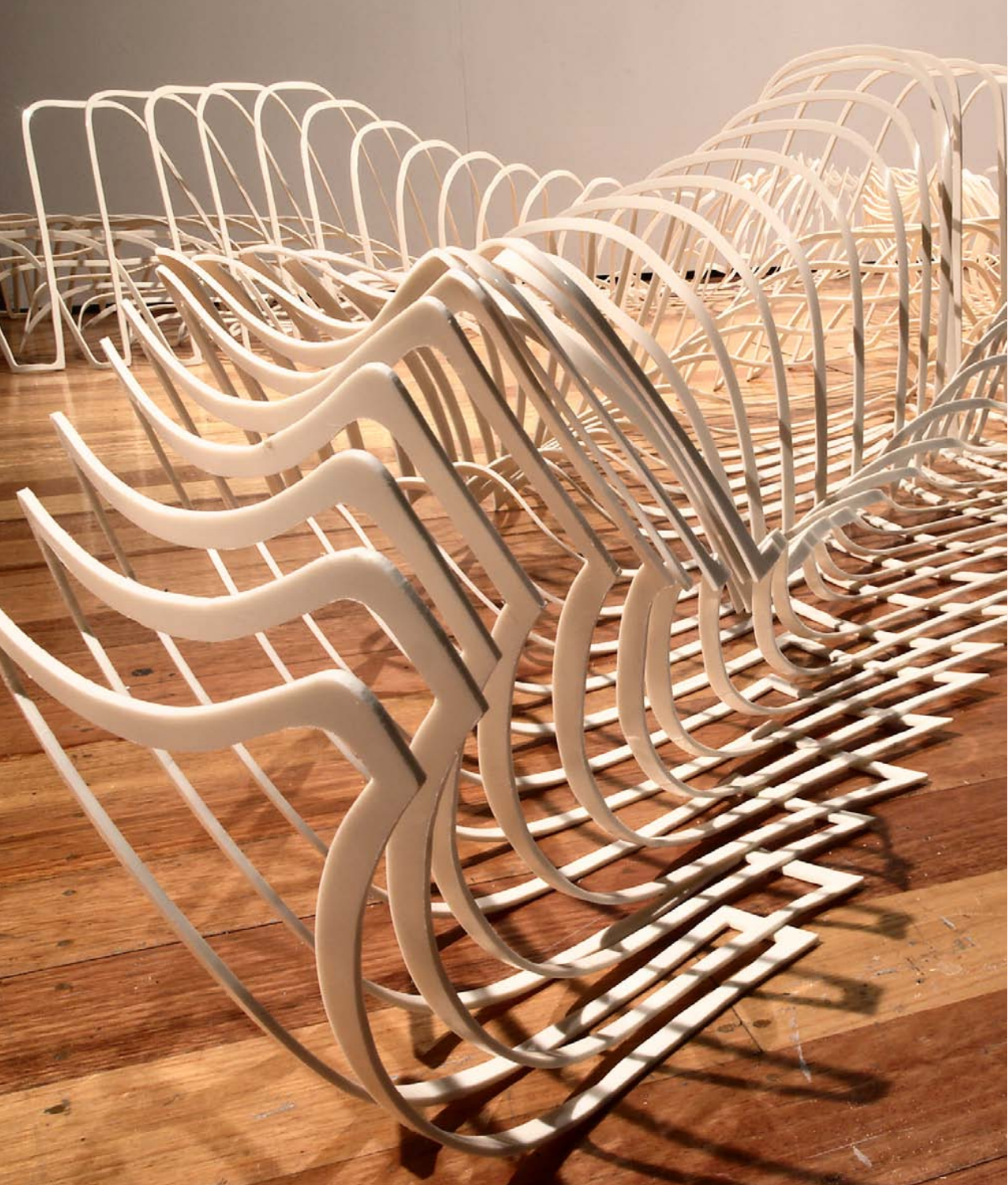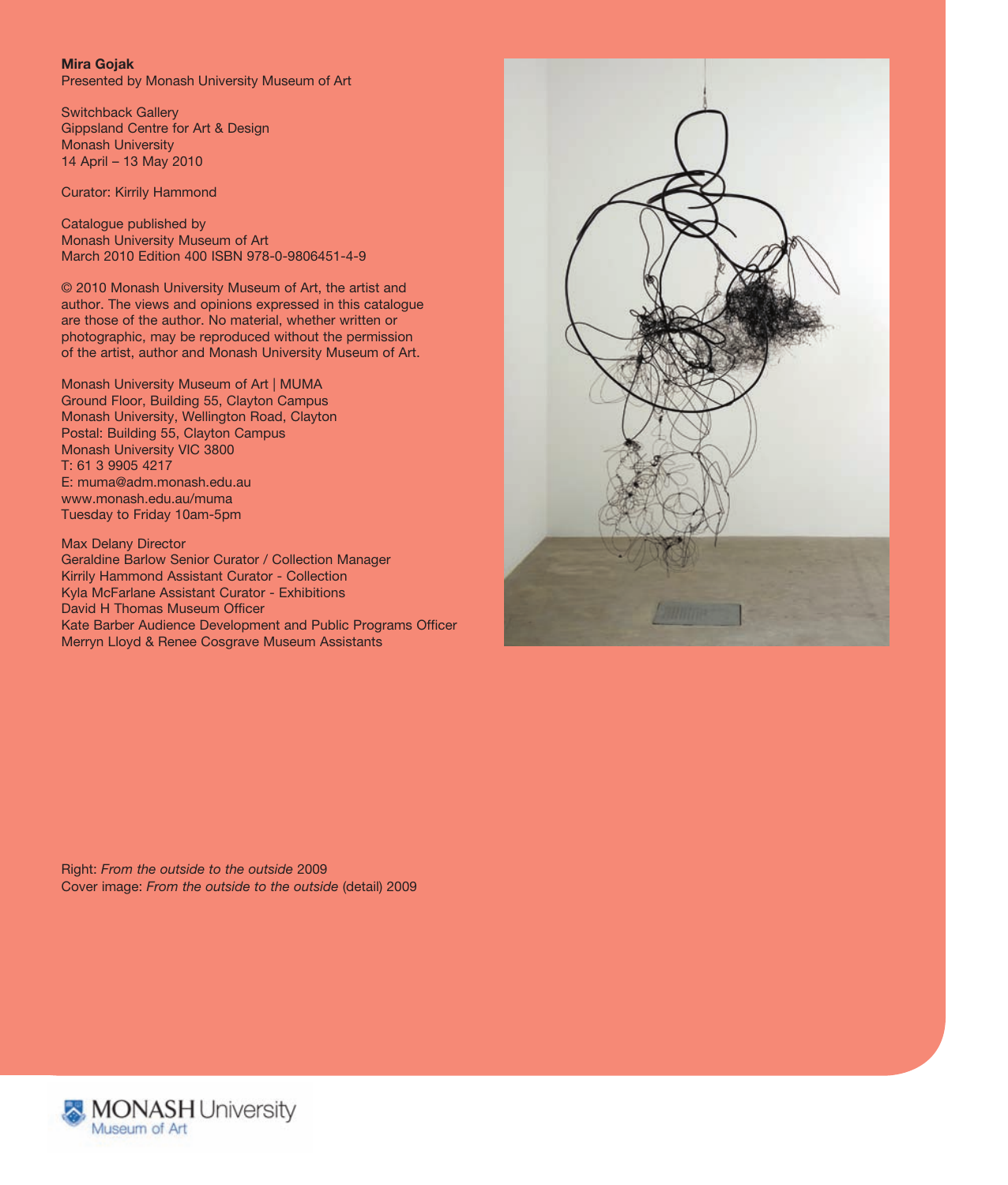### **Mira Gojak**

Presented by Monash University Museum of Art

Switchback Gallery Gippsland Centre for Art & Design Monash University 14 April – 13 May 2010

Curator: Kirrily Hammond

Catalogue published by Monash University Museum of Art March 2010 Edition 400 ISBN 978-0-9806451-4-9

© 2010 Monash University Museum of Art, the artist and author. The views and opinions expressed in this catalogue are those of the author. No material, whether written or photographic, may be reproduced without the permission of the artist, author and Monash University Museum of Art.

Monash University Museum of Art | MUMA Ground Floor, Building 55, Clayton Campus Monash University, Wellington Road, Clayton Postal: Building 55, Clayton Campus Monash University VIC 3800 T: 61 3 9905 4217 E: muma@adm.monash.edu.au www.monash.edu.au/muma Tuesday to Friday 10am-5pm

#### Max Delany Director

Geraldine Barlow Senior Curator / Collection Manager Kirrily Hammond Assistant Curator - Collection Kyla McFarlane Assistant Curator - Exhibitions David H Thomas Museum Officer Kate Barber Audience Development and Public Programs Officer Merryn Lloyd & Renee Cosgrave Museum Assistants



Right: *From the outside to the outside* 2009 Cover image: *From the outside to the outside* (detail) 2009

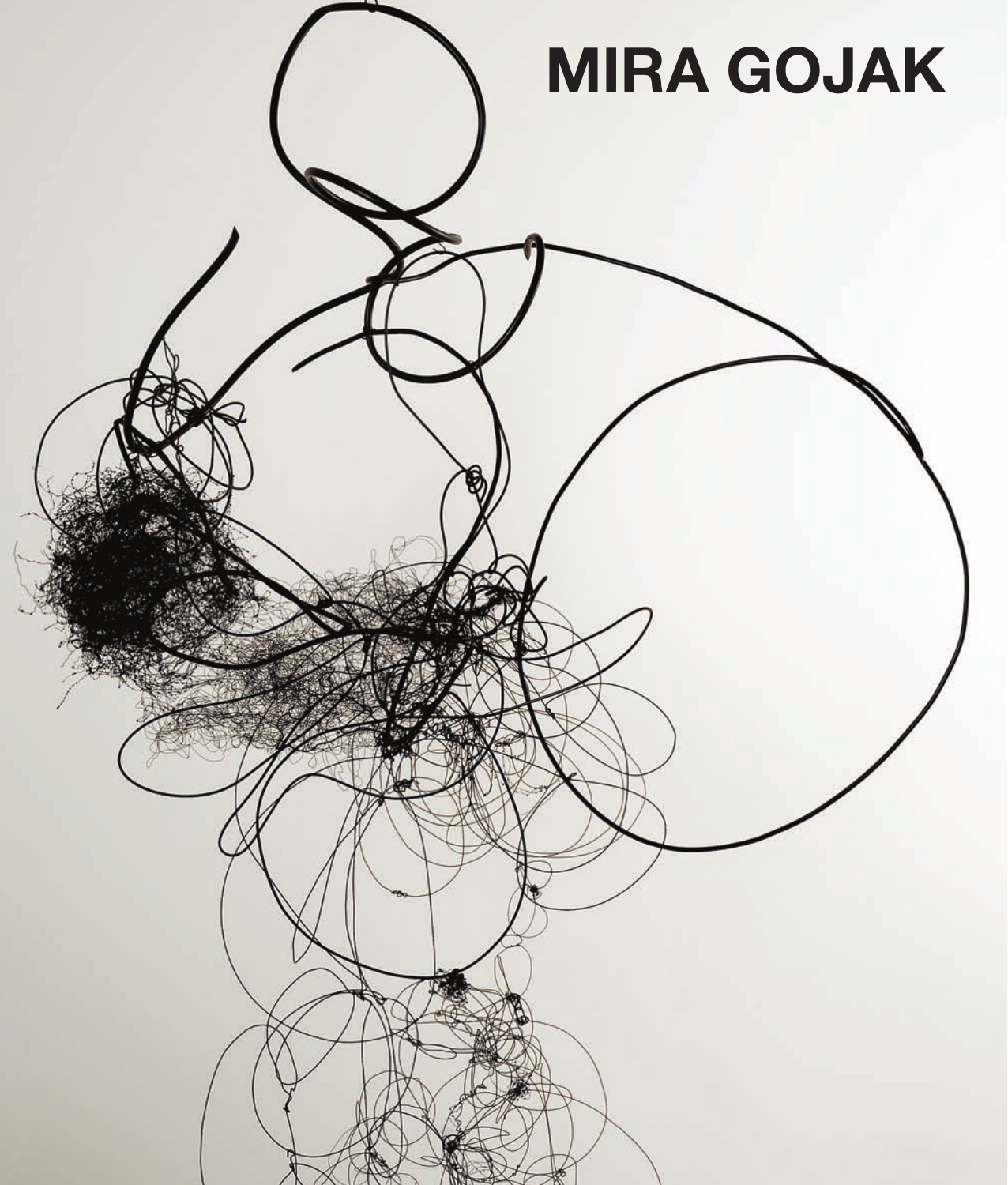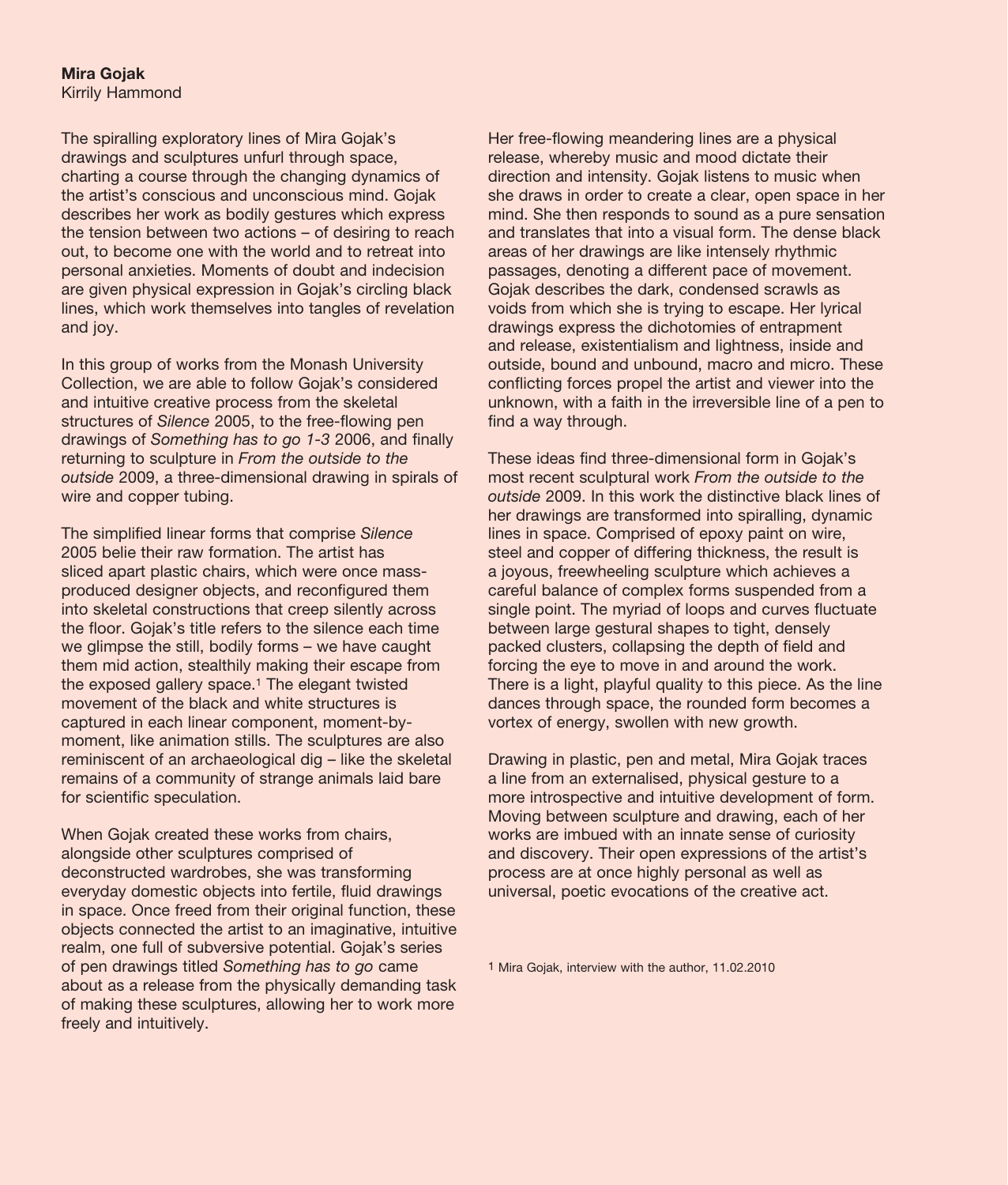# **Mira Gojak**

Kirrily Hammond

The spiralling exploratory lines of Mira Gojak's drawings and sculptures unfurl through space, charting a course through the changing dynamics of the artist's conscious and unconscious mind. Gojak describes her work as bodily gestures which express the tension between two actions – of desiring to reach out, to become one with the world and to retreat into personal anxieties. Moments of doubt and indecision are given physical expression in Gojak's circling black lines, which work themselves into tangles of revelation and joy.

In this group of works from the Monash University Collection, we are able to follow Gojak's considered and intuitive creative process from the skeletal structures of *Silence* 2005, to the free-flowing pen drawings of *Something has to go 1-3* 2006, and finally returning to sculpture in *From the outside to the outside* 2009, a three-dimensional drawing in spirals of wire and copper tubing.

The simplified linear forms that comprise *Silence* 2005 belie their raw formation. The artist has sliced apart plastic chairs, which were once massproduced designer objects, and reconfigured them into skeletal constructions that creep silently across the floor. Gojak's title refers to the silence each time we glimpse the still, bodily forms – we have caught them mid action, stealthily making their escape from the exposed gallery space.<sup>1</sup> The elegant twisted movement of the black and white structures is captured in each linear component, moment-bymoment, like animation stills. The sculptures are also reminiscent of an archaeological dig – like the skeletal remains of a community of strange animals laid bare for scientific speculation.

When Gojak created these works from chairs, alongside other sculptures comprised of deconstructed wardrobes, she was transforming everyday domestic objects into fertile, fluid drawings in space. Once freed from their original function, these objects connected the artist to an imaginative, intuitive realm, one full of subversive potential. Gojak's series of pen drawings titled *Something has to go* came about as a release from the physically demanding task of making these sculptures, allowing her to work more freely and intuitively.

Her free-flowing meandering lines are a physical release, whereby music and mood dictate their direction and intensity. Gojak listens to music when she draws in order to create a clear, open space in her mind. She then responds to sound as a pure sensation and translates that into a visual form. The dense black areas of her drawings are like intensely rhythmic passages, denoting a different pace of movement. Gojak describes the dark, condensed scrawls as voids from which she is trying to escape. Her lyrical drawings express the dichotomies of entrapment and release, existentialism and lightness, inside and outside, bound and unbound, macro and micro. These conflicting forces propel the artist and viewer into the unknown, with a faith in the irreversible line of a pen to find a way through.

These ideas find three-dimensional form in Gojak's most recent sculptural work *From the outside to the outside* 2009. In this work the distinctive black lines of her drawings are transformed into spiralling, dynamic lines in space. Comprised of epoxy paint on wire, steel and copper of differing thickness, the result is a joyous, freewheeling sculpture which achieves a careful balance of complex forms suspended from a single point. The myriad of loops and curves fluctuate between large gestural shapes to tight, densely packed clusters, collapsing the depth of field and forcing the eye to move in and around the work. There is a light, playful quality to this piece. As the line dances through space, the rounded form becomes a vortex of energy, swollen with new growth.

Drawing in plastic, pen and metal, Mira Gojak traces a line from an externalised, physical gesture to a more introspective and intuitive development of form. Moving between sculpture and drawing, each of her works are imbued with an innate sense of curiosity and discovery. Their open expressions of the artist's process are at once highly personal as well as universal, poetic evocations of the creative act.

1 Mira Gojak, interview with the author, 11.02.2010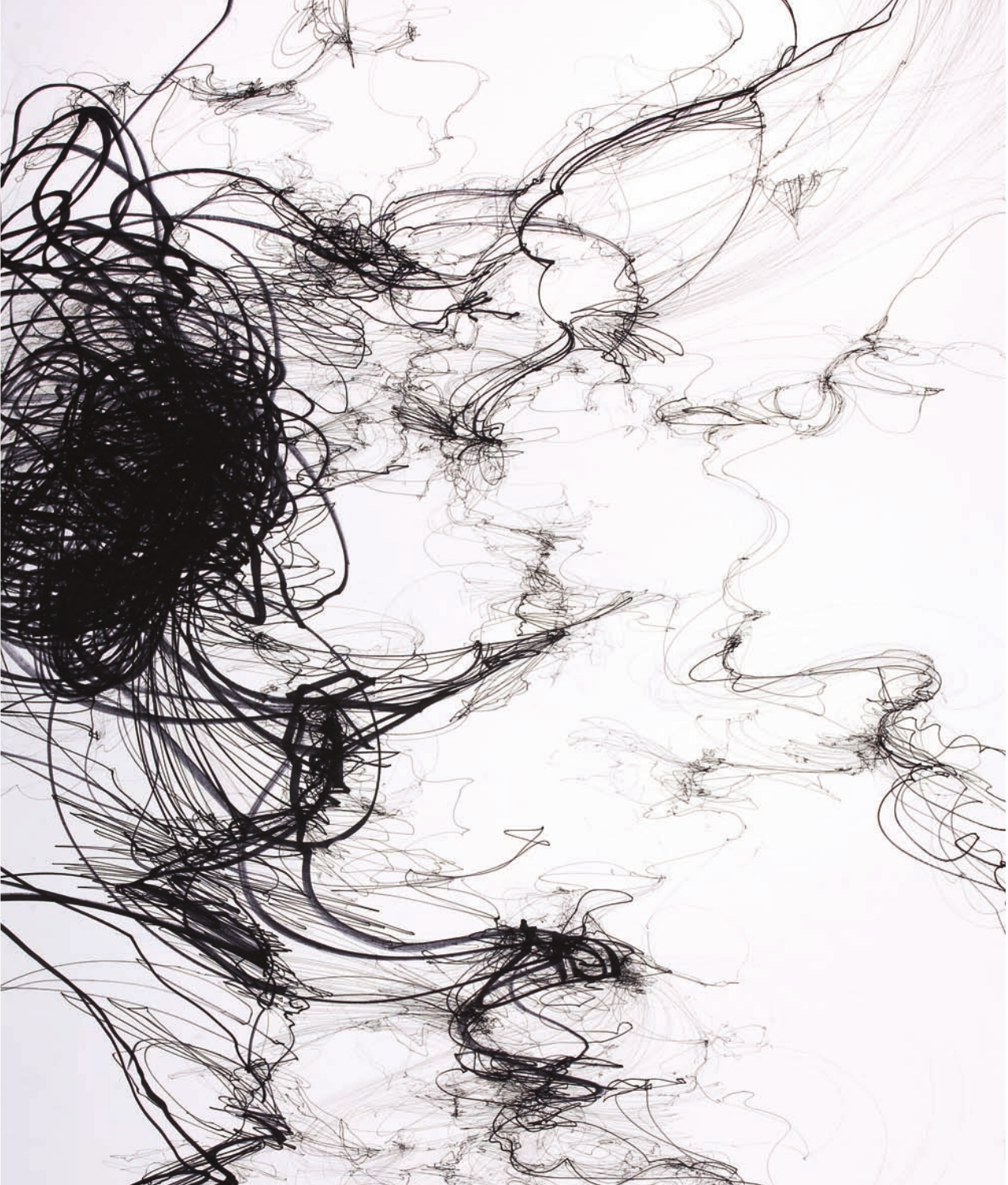